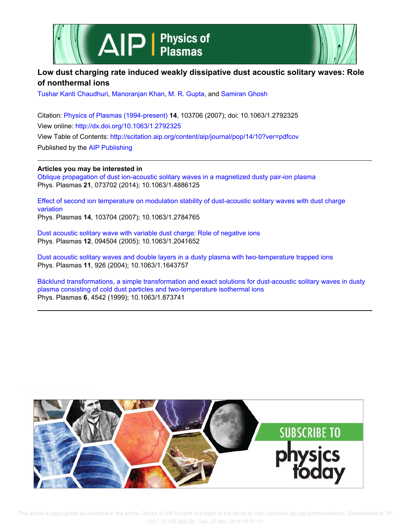



# **Low dust charging rate induced weakly dissipative dust acoustic solitary waves: Role of nonthermal ions**

Tushar Kanti Chaudhuri, Manoranjan Khan, M. R. Gupta, and Samiran Ghosh

Citation: Physics of Plasmas (1994-present) **14**, 103706 (2007); doi: 10.1063/1.2792325 View online: http://dx.doi.org/10.1063/1.2792325 View Table of Contents: http://scitation.aip.org/content/aip/journal/pop/14/10?ver=pdfcov Published by the AIP Publishing

**Articles you may be interested in**

Oblique propagation of dust ion-acoustic solitary waves in a magnetized dusty pair-ion plasma Phys. Plasmas **21**, 073702 (2014); 10.1063/1.4886125

Effect of second ion temperature on modulation stability of dust-acoustic solitary waves with dust charge variation Phys. Plasmas **14**, 103704 (2007); 10.1063/1.2784765

Dust acoustic solitary wave with variable dust charge: Role of negative ions Phys. Plasmas **12**, 094504 (2005); 10.1063/1.2041652

Dust acoustic solitary waves and double layers in a dusty plasma with two-temperature trapped ions Phys. Plasmas **11**, 926 (2004); 10.1063/1.1643757

Bäcklund transformations, a simple transformation and exact solutions for dust-acoustic solitary waves in dusty plasma consisting of cold dust particles and two-temperature isothermal ions Phys. Plasmas **6**, 4542 (1999); 10.1063/1.873741

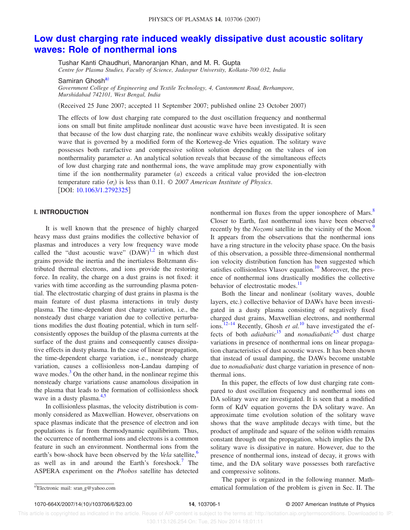# **Low dust charging rate induced weakly dissipative dust acoustic solitary waves: Role of nonthermal ions**

Tushar Kanti Chaudhuri, Manoranjan Khan, and M. R. Gupta

*Centre for Plasma Studies, Faculty of Science, Jadavpur University, Kolkata-700 032, India*

Samiran Ghosh<sup>a)</sup>

*Government College of Engineering and Textile Technology, 4, Cantonment Road, Berhampore, Murshidabad 742101, West Bengal, India*

(Received 25 June 2007; accepted 11 September 2007; published online 23 October 2007)

The effects of low dust charging rate compared to the dust oscillation frequency and nonthermal ions on small but finite amplitude nonlinear dust acoustic wave have been investigated. It is seen that because of the low dust charging rate, the nonlinear wave exhibits weakly dissipative solitary wave that is governed by a modified form of the Korteweg-de Vries equation. The solitary wave possesses both rarefactive and compressive soliton solution depending on the values of ion nonthermality parameter *a*. An analytical solution reveals that because of the simultaneous effects of low dust charging rate and nonthermal ions, the wave amplitude may grow exponentially with time if the ion nonthermality parameter  $(a)$  exceeds a critical value provided the ion-electron temperature ratio  $(\sigma_i)$  is less than 0.11.  $\odot$  2007 American Institute of Physics. [DOI: 10.1063/1.2792325]

# **I. INTRODUCTION**

It is well known that the presence of highly charged heavy mass dust grains modifies the collective behavior of plasmas and introduces a very low frequency wave mode called the "dust acoustic wave"  $(DAW)^{1,2}$  in which dust grains provide the inertia and the inertialess Boltzmann distributed thermal electrons, and ions provide the restoring force. In reality, the charge on a dust grains is not fixed: it varies with time according as the surrounding plasma potential. The electrostatic charging of dust grains in plasma is the main feature of dust plasma interactions in truly dusty plasma. The time-dependent dust charge variation, i.e., the nonsteady dust charge variation due to collective perturbations modifies the dust floating potential, which in turn selfconsistently opposes the buildup of the plasma currents at the surface of the dust grains and consequently causes dissipative effects in dusty plasma. In the case of linear propagation, the time-dependent charge variation, i.e., nonsteady charge variation, causes a collisionless non-Landau damping of wave modes. $3$  On the other hand, in the nonlinear regime this nonsteady charge variations cause anamolous dissipation in the plasma that leads to the formation of collisionless shock wave in a dusty plasma. $4,5$ 

In collisionless plasmas, the velocity distribution is commonly considered as Maxwellian. However, observations on space plasmas indicate that the presence of electron and ion populations is far from thermodynamic equilibrium. Thus, the occurrence of nonthermal ions and electrons is a common feature in such an environment. Nonthermal ions from the earth's bow-shock have been observed by the *Vela* satellite,<sup>6</sup> as well as in and around the Earth's foreshock.<sup>7</sup> The ASPERA experiment on the *Phobos* satellite has detected nonthermal ion fluxes from the upper ionosphere of Mars.<sup>8</sup> Closer to Earth, fast nonthermal ions have been observed recently by the *Nozomi* satellite in the vicinity of the Moon.<sup>9</sup> It appears from the observations that the nonthermal ions have a ring structure in the velocity phase space. On the basis of this observation, a possible three-dimensional nonthermal ion velocity distribution function has been suggested which satisfies collisionless Vlasov equation.<sup>10</sup> Moreover, the presence of nonthermal ions drastically modifies the collective behavior of electrostatic modes.<sup>11</sup>

Both the linear and nonlinear (solitary waves, double layers, etc.) collective behavior of DAWs have been investigated in a dusty plasma consisting of negatively fixed charged dust grains, Maxwellian electrons, and nonthermal ions.<sup>12–14</sup> Recently, Ghosh *et al.*<sup>10</sup> have investigated the effects of both *adiabatic*<sup>15</sup> and *nonadiabatic*<sup>4,5</sup> dust charge variations in presence of nonthermal ions on linear propagation characteristics of dust acoustic waves. It has been shown that instead of usual damping, the DAWs become unstable due to *nonadiabatic* dust charge variation in presence of nonthermal ions.

In this paper, the effects of low dust charging rate compared to dust oscillation frequency and nonthermal ions on DA solitary wave are investigated. It is seen that a modified form of KdV equation governs the DA solitary wave. An approximate time evolution solution of the solitary wave shows that the wave amplitude decays with time, but the product of amplitude and square of the soliton width remains constant through out the propagation, which implies the DA solitary wave is dissipative in nature. However, due to the presence of nonthermal ions, instead of decay, it grows with time, and the DA solitary wave possesses both rarefactive and compressive solitons.

The paper is organized in the following manner. Mathematical formulation of the problem is given in Sec. II. The

Electronic mail: sran\_g@yahoo.com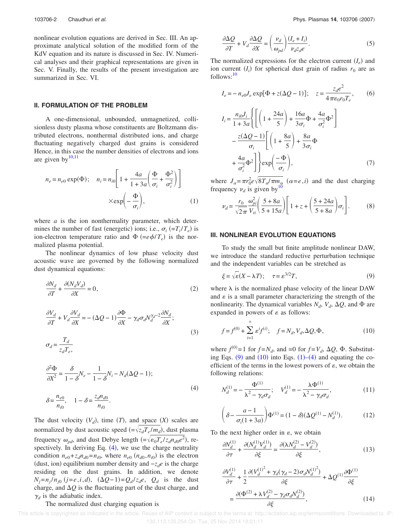nonlinear evolution equations are derived in Sec. III. An approximate analytical solution of the modified form of the KdV equation and its nature is discussed in Sec. IV. Numerical analyses and their graphical representations are given in Sec. V. Finally, the results of the present investigation are summarized in Sec. VI.

# **II. FORMULATION OF THE PROBLEM**

A one-dimensional, unbounded, unmagnetized, collisionless dusty plasma whose constituents are Boltzmann distributed electrons, nonthermal distributed ions, and charge fluctuating negatively charged dust grains is considered Hence, in this case the number densities of electrons and ions are given by $^{10,11}$ 

$$
n_e = n_{e0} \exp(\Phi); \quad n_i = n_{i0} \left[ 1 + \frac{4a}{1 + 3a} \left( \frac{\Phi}{\sigma_i} + \frac{\Phi^2}{\sigma_i^2} \right) \right]
$$

$$
\times \exp\left(-\frac{\Phi}{\sigma_i}\right), \tag{1}
$$

where *a* is the ion nonthermality parameter, which determines the number of fast (energetic) ions; i.e.,  $\sigma_i$  (= $T_i/T_e$ ) is ion-electron temperature ratio and  $\Phi$  (= $e\phi/T_e$ ) is the normalized plasma potential.

The nonlinear dynamics of low phase velocity dust acoustic wave are governed by the following normalized dust dynamical equations:

$$
\frac{\partial N_d}{\partial T} + \frac{\partial (N_d V_d)}{\partial X} = 0,\tag{2}
$$

$$
\frac{\partial V_d}{\partial T} + V_d \frac{\partial V_d}{\partial X} = -(\Delta Q - 1) \frac{\partial \Phi}{\partial X} - \gamma_d \sigma_d N_d^{\gamma_d - 2} \frac{\partial N_d}{\partial X};
$$
\n(3)

$$
\sigma_d = \frac{T_d}{z_d T_e},
$$

$$
\frac{\partial^2 \Phi}{\partial X^2} = \frac{\delta}{1 - \delta} N_e - \frac{1}{1 - \delta} N_i - N_d (\Delta Q - 1);
$$
  

$$
\delta = \frac{n_{e0}}{n_{i0}}, \quad 1 - \delta = \frac{z_d n_{d0}}{n_{i0}}.
$$
 (4)

The dust velocity  $(V_d)$ , time  $(T)$ , and space  $(X)$  scales are normalized by dust acoustic speed  $(=\sqrt{z_d T_e / m_d})$ , dust plasma frequency  $\omega_{pd}$ , and dust Debye length  $(=\sqrt{\epsilon_0 T_e/z_d n_{d0}e^2})$ , respectively. In deriving Eq.  $(4)$ , we use the charge neutrality condition  $n_{e0} + z_d n_{d0} = n_{i0}$ , where  $n_{e0}$   $(n_{d0}, n_{i0})$  is the electron (dust, ion) equilibrium number density and  $-z_d e$  is the charge residing on the dust grains. In addition, we denote  $N_j = n_j/n_{j0}$  ( $j = e, i, d$ ),  $(\Delta Q - 1) = Q_d/z_d e$ ,  $Q_d$  is the dust charge, and  $\Delta Q$  is the fluctuating part of the dust charge, and  $\gamma_d$  is the adiabatic index.

### The normalized dust charging equation is

$$
\frac{\partial \Delta Q}{\partial T} + V_d \frac{\partial \Delta Q}{\partial X} = \left(\frac{\nu_d}{\omega_{pd}}\right) \frac{(I_e + I_i)}{\nu_d z_d e}.
$$
 (5)

The normalized expressions for the electron current  $(I_e)$  and ion current  $(I_i)$  for spherical dust grain of radius  $r_0$  are as  $follows<sup>.10</sup>$ 

$$
I_e = -n_{e0}J_e \exp[\Phi + z(\Delta Q - 1)]; \quad z = \frac{z_d e^2}{4\pi\epsilon_0 r_0 T_e}, \qquad (6)
$$

$$
I_i = \frac{n_{i0}J_i}{1+3a} \left\{ \left[ \left( 1 + \frac{24a}{5} \right) + \frac{16a}{3\sigma_i} \Phi + \frac{4a}{\sigma_i^2} \Phi^2 \right] - \frac{z(\Delta Q - 1)}{\sigma_i} \left[ \left( 1 + \frac{8a}{5} \right) + \frac{8a}{3\sigma_i} \Phi \right] \right\}
$$

$$
+\frac{4a}{\sigma_i^2}\Phi^2\bigg]\bigg\} \exp\bigg(\frac{-\Phi}{\sigma_i}\bigg),\tag{7}
$$

where  $J_{\alpha} = \pi r_0^2 e \sqrt{8T_{\alpha}/\pi m_{\alpha}}$  ( $\alpha = e, i$ ) and the dust charging frequency  $v_d$  is given by<sup>10</sup>

$$
\nu_d = \frac{r_0}{\sqrt{2\pi}} \frac{\omega_{pi}^2}{V_{ti}} \left( \frac{5 + 8a}{5 + 15a} \right) \left[ 1 + z + \left( \frac{5 + 24a}{5 + 8a} \right) \sigma_i \right].
$$
 (8)

#### **III. NONLINEAR EVOLUTION EQUATIONS**

To study the small but finite amplitude nonlinear DAW, we introduce the standard reductive perturbation technique and the independent variables can be stretched as

$$
\xi = \sqrt{\varepsilon}(X - \lambda T); \quad \tau = \varepsilon^{3/2} T,\tag{9}
$$

where  $\lambda$  is the normalized phase velocity of the linear DAW and  $\varepsilon$  is a small parameter characterizing the strength of the nonlinearity. The dynamical variables  $N_d$ ,  $V_d$ ,  $\Delta Q$ , and  $\Phi$  are expanded in powers of  $\varepsilon$  as follows:

$$
f = f^{(0)} + \sum_{i=1}^{\infty} \varepsilon^{i} f^{(i)}; \quad f = N_d, V_d, \Delta Q, \Phi,
$$
 (10)

where  $f^{(0)} = 1$  for  $f = N_d$ , and  $= 0$  for  $f = V_d$ ,  $\Delta Q$ ,  $\Phi$ . Substituting Eqs.  $(9)$  and  $(10)$  into Eqs.  $(1)$ – $(4)$  and equating the coefficient of the terms in the lowest powers of  $\varepsilon$ , we obtain the following relations:

$$
N_d^{(1)} = -\frac{\Phi^{(1)}}{\lambda^2 - \gamma_d \sigma_d}; \quad V_d^{(1)} = -\frac{\lambda \Phi^{(1)}}{\lambda^2 - \gamma_d \sigma_d},
$$
(11)

$$
\left(\delta - \frac{a-1}{\sigma_i(1+3a)}\right)\Phi^{(1)} = (1-\delta)(\Delta Q^{(1)} - N_d^{(1)}).
$$
 (12)

To the next higher order in  $\varepsilon$ , we obtain

$$
\frac{\partial N_d^{(1)}}{\partial \tau} + \frac{\partial (N_d^{(1)} V_d^{(1)})}{\partial \xi} = \frac{\partial (\lambda N_d^{(2)} - V_d^{(2)})}{\partial \xi},\tag{13}
$$

$$
\frac{\partial V_d^{(1)}}{\partial \tau} + \frac{1}{2} \frac{\partial (V_d^{(1)^2} + \gamma_d (\gamma_d - 2) \sigma_d N_d^{(1)^2})}{\partial \xi} + \Delta Q^{(1)} \frac{\partial \Phi^{(1)}}{\partial \xi}
$$
\n
$$
= \frac{\partial (\Phi^{(2)} + \lambda V_d^{(2)} - \gamma_d \sigma_d N_d^{(2)})}{\partial \xi},
$$
\n(14)

 This article is copyrighted as indicated in the article. Reuse of AIP content is subject to the terms at: http://scitation.aip.org/termsconditions. Downloaded to IP: 130.113.126.254 On: Tue, 25 Nov 2014 18:01:11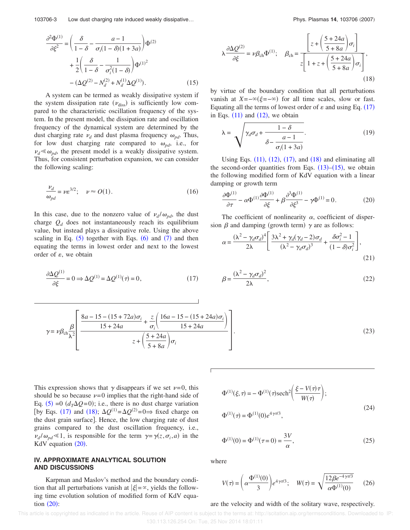$$
\frac{\partial^2 \Phi^{(1)}}{\partial \xi^2} = \left(\frac{\delta}{1-\delta} - \frac{a-1}{\sigma_i(1-\delta)(1+3a)}\right) \Phi^{(2)} + \frac{1}{2} \left(\frac{\delta}{1-\delta} - \frac{1}{\sigma_i^2(1-\delta)}\right) \Phi^{(1)^2} - (\Delta Q^{(2)} - N_d^{(2)} + N_d^{(1)} \Delta Q^{(1)}).
$$
(15)

A system can be termed as weakly dissipative system if the system dissipation rate  $(\nu_{\text{diss}})$  is sufficiently low compared to the characteristic oscillation frequency of the system. In the present model, the dissipation rate and oscillation frequency of the dynamical system are determined by the dust charging rate  $\nu_d$  and dust plasma frequency  $\omega_{pd}$ . Thus, for low dust charging rate compared to  $\omega_{pd}$ , i.e., for  $\nu_d \ll \omega_{pd}$ , the present model is a weakly dissipative system. Thus, for consistent perturbation expansion, we can consider the following scaling:

$$
\frac{\nu_d}{\omega_{pd}} = \nu \varepsilon^{3/2}; \quad \nu \approx O(1). \tag{16}
$$

In this case, due to the nonzero value of  $\nu_d/\omega_{pd}$ , the dust charge  $Q_d$  does not instantaneously reach its equilibrium value, but instead plays a dissipative role. Using the above scaling in Eq.  $(5)$  together with Eqs.  $(6)$  and  $(7)$  and then equating the terms in lowest order and next to the lowest order of  $\varepsilon$ , we obtain

$$
\frac{\partial \Delta Q^{(1)}}{\partial \xi} = 0 \Rightarrow \Delta Q^{(1)} = \Delta Q^{(1)}(\tau) = 0,\tag{17}
$$

$$
\lambda \frac{\partial \Delta Q^{(2)}}{\partial \xi} = \nu \beta_{\rm ch} \Phi^{(1)}; \quad \beta_{\rm ch} = \frac{\left[z + \left(\frac{5 + 24a}{5 + 8a}\right) \sigma_i\right]}{z \left[1 + z + \left(\frac{5 + 24a}{5 + 8a}\right) \sigma_i\right]},
$$
\n(18)

by virtue of the boundary condition that all perturbations vanish at  $X = -\infty(\xi = -\infty)$  for all time scales, slow or fast. Equating all the terms of lowest order of  $\varepsilon$  and using Eq. (17) in Eqs.  $(11)$  and  $(12)$ , we obtain

$$
\lambda = \sqrt{\gamma_d \sigma_d + \frac{1 - \delta}{\delta - \frac{a - 1}{\sigma_i (1 + 3a)}}}. \tag{19}
$$

Using Eqs.  $(11)$ ,  $(12)$ ,  $(17)$ , and  $(18)$  and eliminating all the second-order quantities from Eqs.  $(13)$ – $(15)$ , we obtain the following modified form of KdV equation with a linear damping or growth term

$$
\frac{\partial \Phi^{(1)}}{\partial \tau} - \alpha \Phi^{(1)} \frac{\partial \Phi^{(1)}}{\partial \xi} + \beta \frac{\partial^3 \Phi^{(1)}}{\partial \xi^3} - \gamma \Phi^{(1)} = 0. \tag{20}
$$

The coefficient of nonlinearity  $\alpha$ , coefficient of dispersion  $\beta$  and damping (growth term)  $\gamma$  are as follows:

$$
\alpha = \frac{(\lambda^2 - \gamma_d \sigma_d)^4}{2\lambda} \left[ \frac{3\lambda^2 + \gamma_d(\gamma_d - 2)\sigma_d}{(\lambda^2 - \gamma_d \sigma_d)^3} + \frac{\delta \sigma_i^2 - 1}{(1 - \delta)\sigma_i^2} \right],
$$
\n(21)

$$
\beta = \frac{(\lambda^2 - \gamma_d \sigma_d)^2}{2\lambda},\tag{22}
$$

$$
\gamma = \nu \beta_{\rm ch} \frac{\beta}{\lambda^2} \left[ \frac{8a - 15 - (15 + 72a)\sigma_i}{15 + 24a} + \frac{z}{\sigma_i} \left( \frac{16a - 15 - (15 + 24a)\sigma_i}{15 + 24a} \right) - z + \left( \frac{5 + 24a}{5 + 8a} \right) \sigma_i \right].
$$
\n(23)

This expression shows that  $\gamma$  disappears if we set  $\nu=0$ , this should be so because  $\nu=0$  implies that the right-hand side of Eq. (5) = 0  $(d_T\Delta Q=0)$ ; i.e., there is no dust charge variation [by Eqs. (17) and (18);  $\Delta Q^{(1)} = \Delta Q^{(2)} = 0 \Rightarrow$  fixed charge on the dust grain surface]. Hence, the low charging rate of dust grains compared to the dust oscillation frequency, i.e.,  $\nu_d/\omega_{pd} \leq 1$ , is responsible for the term  $\gamma = \gamma(z, \sigma_i, a)$  in the KdV equation  $(20)$ .

# **IV. APPROXIMATE ANALYTICAL SOLUTION AND DISCUSSIONS**

Karpman and Maslov's method and the boundary condition that all perturbations vanish at  $|\xi| = \infty$ , yields the following time evolution solution of modified form of KdV equation  $(20)$ :

$$
\Phi^{(1)}(\xi,\tau) = -\Phi^{(1)}(\tau)\mathrm{sech}^2\left(\frac{\xi - V(\tau)\tau}{W(\tau)}\right);
$$
  
 
$$
\Phi^{(1)}(\tau) = \Phi^{(1)}(0)e^{4\gamma\tau/3},
$$
 (24)

$$
\Phi^{(1)}(0) = \Phi^{(1)}(\tau = 0) = \frac{3V}{\alpha},\tag{25}
$$

where

$$
V(\tau) = \left(\alpha \frac{\Phi^{(1)}(0)}{3}\right) e^{4\gamma \tau/3}; \quad W(\tau) = \sqrt{\frac{12\beta e^{-4\gamma \tau/3}}{\alpha \Phi^{(1)}(0)}} \quad (26)
$$

#### are the velocity and width of the solitary wave, respectively.

 This article is copyrighted as indicated in the article. Reuse of AIP content is subject to the terms at: http://scitation.aip.org/termsconditions. Downloaded to IP: 130.113.126.254 On: Tue, 25 Nov 2014 18:01:11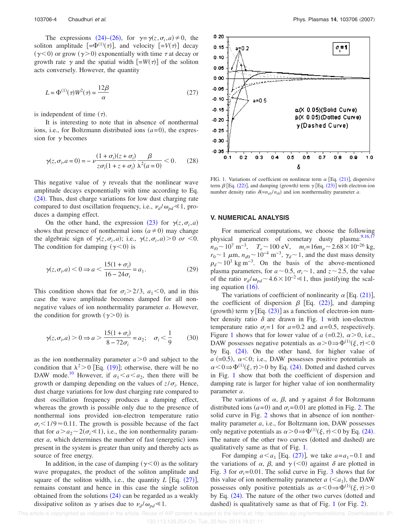The expressions (24)–(26), for  $\gamma = \gamma(z, \sigma_i, a) \neq 0$ , the soliton amplitude  $[-\Phi^{(1)}(\tau)]$ , and velocity  $[-V(\tau)]$  decay  $(\gamma < 0)$  or grow  $(\gamma > 0)$  exponentially with time  $\tau$  at decay or growth rate  $\gamma$  and the spatial width  $[-W(\tau)]$  of the soliton acts conversely. However, the quantity

$$
L = \Phi^{(1)}(\tau)W^2(\tau) = \frac{12\beta}{\alpha}
$$
 (27)

is independent of time  $(\tau)$ .

It is interesting to note that in absence of nonthermal ions, i.e., for Boltzmann distributed ions  $(a=0)$ , the expression for  $\gamma$  becomes

$$
\gamma(z,\sigma_i,a=0) = -\nu \frac{(1+\sigma_i)(z+\sigma_i)}{z\sigma_i(1+z+\sigma_i)} \frac{\beta}{\lambda^2(a=0)} < 0. \tag{28}
$$

This negative value of  $\gamma$  reveals that the nonlinear wave amplitude decays exponentially with time according to Eq.  $(24)$ . Thus, dust charge variations for low dust charging rate compared to dust oscillation frequency, i.e.,  $v_d / \omega_{pd} \le 1$ , produces a damping effect.

On the other hand, the expression (23) for  $\gamma(z, \sigma_i, a)$ shows that presence of nonthermal ions  $(a \neq 0)$  may change the algebraic sign of  $\gamma(z, \sigma_i, a)$ ; i.e.,  $\gamma(z, \sigma_i, a) > 0$  *or* <0. The condition for damping  $(\gamma < 0)$  is

$$
\gamma(z,\sigma_i,a) < 0 \Rightarrow a < \frac{15(1+\sigma_i)}{16 - 24\sigma_i} = a_1. \tag{29}
$$

This condition shows that for  $\sigma_i > 2/3$ ,  $a_1 < 0$ , and in this case the wave amplitude becomes damped for all nonnegative values of ion nonthermality parameter *a*. However, the condition for growth  $(\gamma > 0)$  is

$$
\gamma(z,\sigma_i,a) > 0 \Rightarrow a > \frac{15(1+\sigma_i)}{8-72\sigma_i} = a_2; \quad \sigma_i < \frac{1}{9} \tag{30}
$$

as the ion nonthermality parameter  $a > 0$  and subject to the condition that  $\lambda^2 > 0$  [Eq. (19)]; otherwise, there will be no DAW mode.<sup>10</sup> However, if  $a_1 < a < a_2$ , then there will be growth or damping depending on the values of  $z/\sigma_i$ . Hence, dust charge variations for low dust charging rate compared to dust oscillation frequency produces a damping effect, whereas the growth is possible only due to the presence of nonthermal ions provided ion-electron temperature ratio  $\sigma_i$ <1/9  $\approx$  0.11. The growth is possible because of the fact that for  $a > a_2 \sim 2(\sigma_i \ll 1)$ , i.e., the ion nonthermality parameter  $a$ , which determines the number of fast (energetic) ions present in the system is greater than unity and thereby acts as source of free energy.

In addition, in the case of damping  $(\gamma < 0)$  as the solitary wave propagates, the product of the soliton amplitude and square of the soliton width, i.e., the quantity  $L$  [Eq.  $(27)$ ], remains constant and hence in this case the single soliton obtained from the solutions  $(24)$  can be regarded as a weakly dissipative soliton as  $\gamma$  arises due to  $\nu_d/\omega_{pd} \leq 1$ .



FIG. 1. Variations of coefficient on nonlinear term  $\alpha$  [Eq. (21)], dispersive term  $\beta$  [Eq. (22)], and damping (growth) term  $\gamma$  [Eq. (23)] with electron-ion number density ratio  $\delta(=n_{e0}/n_{i0})$  and ion nonthermality parameter *a*.

# **V. NUMERICAL ANALYSIS**

For numerical computations, we choose the following physical parameters of cometary dusty plasma:<sup>9,16,17</sup>  $n_{i0}$  ~ 10<sup>7</sup> m<sup>-3</sup>,  $T_e$  ~ 100 eV,  $m_i = 16m_p$  ~ 2.68 × 10<sup>-26</sup> kg,  $r_0 \sim 1 \mu \text{m}$ ,  $n_{d0} \sim 10^{-4} \text{m}^{-3}$ ,  $\gamma_d \sim 1$ , and the dust mass density  $\rho_d \sim 10^3$  kg m<sup>-3</sup>. On the basis of the above-mentioned plasma parameters, for  $a \sim 0.5$ ,  $\sigma_i \sim 1$ , and  $z \sim 2.5$ , the value of the ratio  $\nu_d/\omega_{pd} \sim 4.6 \times 10^{-2} \ll 1$ , thus justifying the scaling equation  $(16)$ .

The variations of coefficient of nonlinearity  $\alpha$  [Eq. (21)], the coefficient of dispersion  $\beta$  [Eq. (22)], and damping (growth) term  $\gamma$  [Eq. (23)] as a function of electron-ion number density ratio  $\delta$  are drawn in Fig. 1 with ion-electron temperature ratio  $\sigma_i = 1$  for  $a = 0.2$  and  $a = 0.5$ , respectively. Figure 1 shows that for lower value of  $a$  (=0.2),  $\alpha$  > 0, i.e., DAW possesses negative potentials as  $\alpha > 0 \Rightarrow \Phi^{(1)}(\xi, \tau) < 0$ by Eq. (24). On the other hand, for higher value of  $a$  (=0.5),  $\alpha$ <0; i.e., DAW possesses positive potentials as  $\alpha < 0 \Rightarrow \Phi^{(1)}(\xi, \tau) > 0$  by Eq. (24). Dotted and dashed curves in Fig. 1 show that both the coefficient of dispersion and damping rate is larger for higher value of ion nonthermality parameter *a*.

The variations of  $\alpha$ ,  $\beta$ , and  $\gamma$  against  $\delta$  for Boltzmann distributed ions  $(a=0)$  and  $\sigma_i = 0.01$  are plotted in Fig. 2. The solid curve in Fig. 2 shows that in absence of ion nonthermality parameter *a*, i.e., for Boltzmann ion, DAW possesses only negative potentials as  $\alpha > 0 \Rightarrow \Phi^{(1)}(\xi, \tau) < 0$  by Eq. (24). The nature of the other two curves (dotted and dashed) are qualitatively same as that of Fig. 1.

For damping  $a < a_1$  [Eq. (27)], we take  $a = a_1 - 0.1$  and the variations of  $\alpha$ ,  $\beta$ , and  $\gamma$  (<0) against  $\delta$  are plotted in Fig. 3 for  $\sigma_i$ =0.01. The solid curve in Fig. 3 shows that for this value of ion nonthermality parameter  $a \, \langle \langle a_1 \rangle$ , the DAW possesses only positive potentials as  $\alpha < 0 \Rightarrow \Phi^{(1)}(\xi, \tau) > 0$ by Eq. (24). The nature of the other two curves (dotted and dashed) is qualitatively same as that of Fig.  $1$  (or Fig.  $2$ ).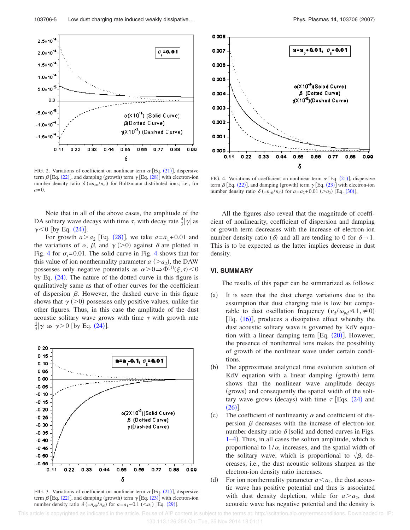

FIG. 2. Variations of coefficient on nonlinear term  $\alpha$  [Eq. (21)], dispersive term  $\beta$  [Eq. (22)], and damping (growth) term  $\gamma$  [Eq. (28)] with electron-ion number density ratio  $\delta$  (= $n_{e0}/n_{i0}$ ) for Boltzmann distributed ions; i.e., for  $a=0$ .

Note that in all of the above cases, the amplitude of the DA solitary wave decays with time  $\tau$ , with decay rate  $\frac{4}{3}|\gamma|$  as  $\gamma$ <0 [by Eq. (24)].

For growth  $a > a_2$  [Eq. (28)], we take  $a = a_1 + 0.01$  and the variations of  $\alpha$ ,  $\beta$ , and  $\gamma$  (>0) against  $\delta$  are plotted in Fig. 4 for  $\sigma_i$ =0.01. The solid curve in Fig. 4 shows that for this value of ion nonthermality parameter  $a \, (> a_2)$ , the DAW possesses only negative potentials as  $\alpha > 0 \Rightarrow \Phi^{(1)}(\xi, \tau) < 0$ by Eq.  $(24)$ . The nature of the dotted curve in this figure is qualitatively same as that of other curves for the coefficient of dispersion  $\beta$ . However, the dashed curve in this figure shows that  $\gamma$  ( $>$ 0) possesses only positive values, unlike the other figures. Thus, in this case the amplitude of the dust acoustic solitary wave grows with time  $\tau$  with growth rate  $\frac{4}{3}|\gamma|$  as  $\gamma > 0$  [by Eq. (24)].



FIG. 3. Variations of coefficient on nonlinear term  $\alpha$  [Eq. (21)], dispersive term  $\beta$  [Eq. (22)], and damping (growth) term  $\gamma$  [Eq. (23)] with electron-ion number density ratio  $\delta (=n_{e0}/n_{i0})$  for  $a = a_1 - 0.1$  (<a<sub>1</sub>) [Eq. (29)].



FIG. 4. Variations of coefficient on nonlinear term  $\alpha$  [Eq. (21)], dispersive term  $\beta$  [Eq. (22)], and damping (growth) term  $\gamma$  [Eq. (23)] with electron-ion number density ratio  $\delta (=n_{e0}/n_{i0})$  for  $a = a_2 + 0.01$  (>a<sub>2</sub>) [Eq. (30)].

All the figures also reveal that the magnitude of coefficient of nonlinearity, coefficient of dispersion and damping or growth term decreases with the increase of electron-ion number density ratio ( $\delta$ ) and all are tending to 0 for  $\delta \rightarrow 1$ . This is to be expected as the latter implies decrease in dust density.

# **VI. SUMMARY**

The results of this paper can be summarized as follows:

- $(a)$  It is seen that the dust charge variations due to the assumption that dust charging rate is low but comparable to dust oscillation frequency  $(\nu_d/\omega_{pd} \le 1, \ne 0)$ [Eq.  $(16)$ ], produces a dissipative effect whereby the dust acoustic solitary wave is governed by KdV equation with a linear damping term  $[Eq. (20)]$ . However, the presence of nonthermal ions makes the possibility of growth of the nonlinear wave under certain conditions.
- $(b)$  The approximate analytical time evolution solution of KdV equation with a linear damping (growth) term shows that the nonlinear wave amplitude decays (grows) and consequently the spatial width of the solitary wave grows (decays) with time  $\tau$  [Eqs. (24) and  $(26)$ ].
- $(c)$ The coefficient of nonlinearity  $\alpha$  and coefficient of dispersion  $\beta$  decreases with the increase of electron-ion number density ratio  $\delta$  (solid and dotted curves in Figs. 1–4). Thus, in all cases the soliton amplitude, which is proportional to  $1/\alpha$ , increases, and the spatial width of the solitary wave, which is proportional to  $\sqrt{\beta}$ , decreases; i.e., the dust acoustic solitons sharpen as the electron-ion density ratio increases.
- $(d)$ For ion nonthermality parameter  $a \le a_1$ , the dust acoustic wave has positive potential and thus is associated with dust density depletion, while for  $a > a_2$ , dust acoustic wave has negative potential and the density is

 This article is copyrighted as indicated in the article. Reuse of AIP content is subject to the terms at: http://scitation.aip.org/termsconditions. Downloaded to IP: 130.113.126.254 On: Tue, 25 Nov 2014 18:01:11